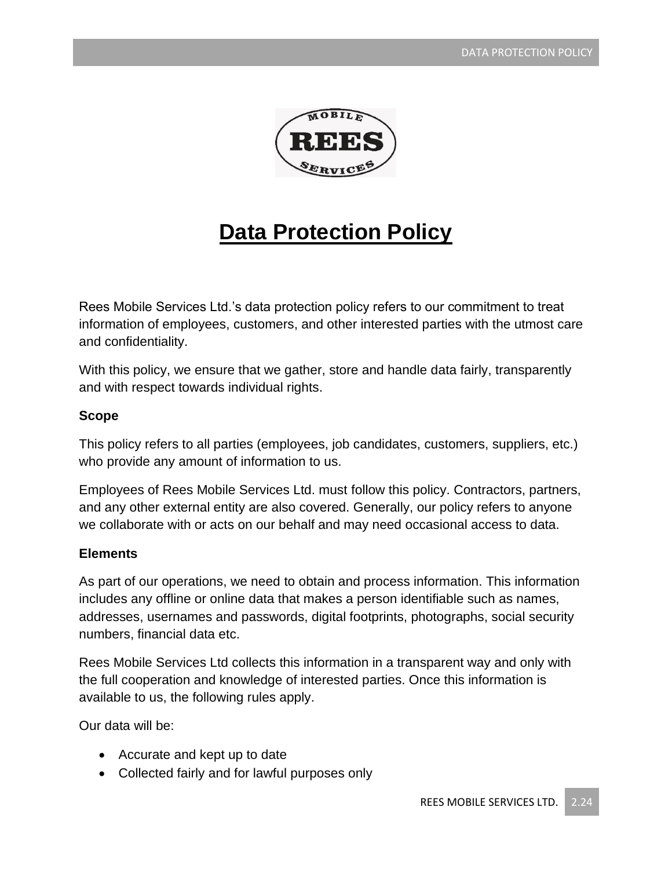

# **Data Protection Policy**

Rees Mobile Services Ltd.'s data protection policy refers to our commitment to treat information of employees, customers, and other interested parties with the utmost care and confidentiality.

With this policy, we ensure that we gather, store and handle data fairly, transparently and with respect towards individual rights.

#### **Scope**

This policy refers to all parties (employees, job candidates, customers, suppliers, etc.) who provide any amount of information to us.

Employees of Rees Mobile Services Ltd. must follow this policy. Contractors, partners, and any other external entity are also covered. Generally, our policy refers to anyone we collaborate with or acts on our behalf and may need occasional access to data.

#### **Elements**

As part of our operations, we need to obtain and process information. This information includes any offline or online data that makes a person identifiable such as names, addresses, usernames and passwords, digital footprints, photographs, social security numbers, financial data etc.

Rees Mobile Services Ltd collects this information in a transparent way and only with the full cooperation and knowledge of interested parties. Once this information is available to us, the following rules apply.

Our data will be:

- Accurate and kept up to date
- Collected fairly and for lawful purposes only